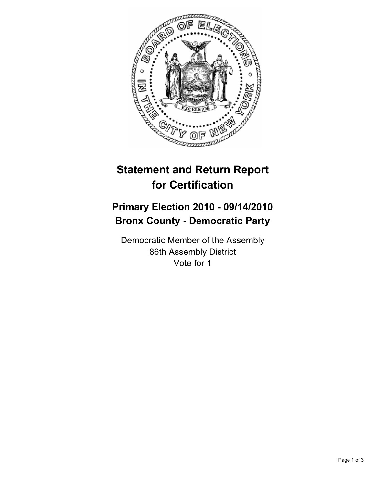

## **Statement and Return Report for Certification**

## **Primary Election 2010 - 09/14/2010 Bronx County - Democratic Party**

Democratic Member of the Assembly 86th Assembly District Vote for 1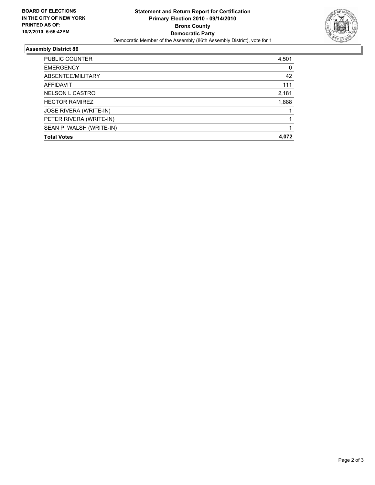

## **Assembly District 86**

| PUBLIC COUNTER           | 4,501 |
|--------------------------|-------|
|                          |       |
| <b>EMERGENCY</b>         | 0     |
| ABSENTEE/MILITARY        | 42    |
| AFFIDAVIT                | 111   |
| <b>NELSON L CASTRO</b>   | 2,181 |
| <b>HECTOR RAMIREZ</b>    | 1,888 |
| JOSE RIVERA (WRITE-IN)   |       |
| PETER RIVERA (WRITE-IN)  |       |
| SEAN P. WALSH (WRITE-IN) |       |
| <b>Total Votes</b>       | 4.072 |